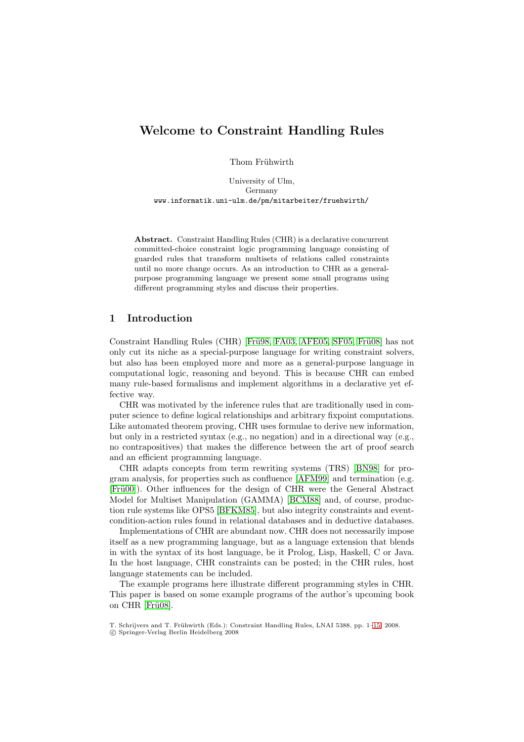# **Welcome to Constraint Handling Rules**

Thom Frühwirth

University of Ulm, Germany www.informatik.uni-ulm.de/pm/mitarbeiter/fruehwirth/

**Abstract.** Constraint Handling Rules (CHR) is a declarative concurrent committed-choice constraint logic programming language consisting of guarded rules that transform multisets of relations called constraints until no more change occurs. As an introduction to CHR as a generalpurpose programming language we present some small programs using different programming styles and discuss their properties.

## **1 Introduction**

Constraint Handling Rules (CHR) [Frü98, [FA03,](#page-13-1) [AFE05,](#page-13-2) [SF05,](#page-14-0) Frü08] has not only cut its niche as a special-purpose language for writing constraint solvers, but also has been employed more and more as a general-purpose language in computational logic, reasoning and beyond. This is because CHR can embed many rule-based formalisms and implement algorithms in a declarative yet effective way.

CHR was motivated by the inference rules that are traditionally used in computer science to define logical relationships and arbitrary fixpoint computations. Like automated theorem proving, CHR uses formulae to derive new information, but only in a restricted syntax (e.g., no negation) and in a directional way (e.g., no contrapositives) that makes the difference between the art of proof search and an efficient programming language.

CHR adapts concepts from term rewriting systems (TRS) [\[BN98\]](#page-13-3) for program analysis, for properties such as confluence [\[AFM99\]](#page-13-4) and termination (e.g. [Frü00]). Other influences for the design of CHR were the General Abstract Model for Multiset Manipulation (GAMMA) [\[BCM88\]](#page-13-5) and, of course, production rule systems like OPS5 [\[BFKM85\]](#page-13-6), but also integrity constraints and eventcondition-action rules found in relational databases and in deductive databases.

Implementations of CHR are abundant now. CHR does not necessarily impose itself as a new programming language, but as a language extension that blends in with the syntax of its host language, be it Prolog, Lisp, Haskell, C or Java. In the host language, CHR constraints can be posted; in the CHR rules, host language statements can be included.

The example programs here illustrate different programming styles in CHR. This paper is based on some example programs of the author's upcoming book on CHR [Frü08].

T. Schrijvers and T. Frühwirth (Eds.): Constraint Handling Rules, LNAI 5388, pp. 1[–15,](#page-13-7) 2008.

<sup>-</sup>c Springer-Verlag Berlin Heidelberg 2008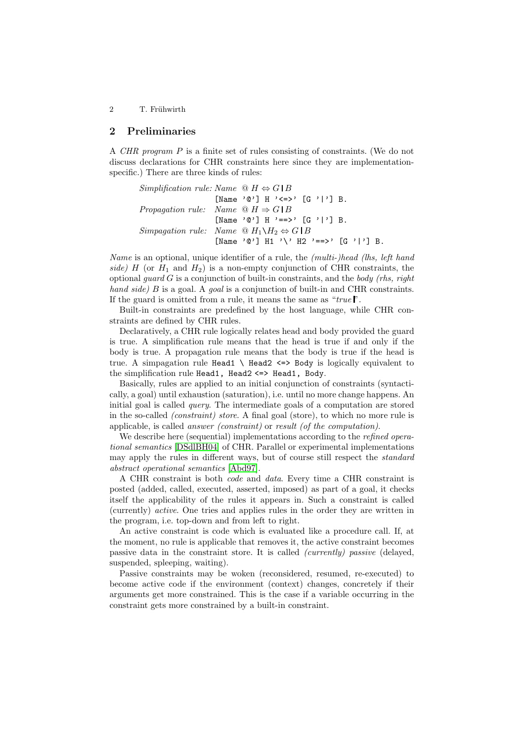## **2 Preliminaries**

A *CHR program* P is a finite set of rules consisting of constraints. (We do not discuss declarations for CHR constraints here since they are implementationspecific.) There are three kinds of rules:

```
Simplification rule: Name \mathcal{Q} \times H \Leftrightarrow G \times H[Name '0'] H ' <=>' [G '|'] B.
Propagation rule: Name \mathbb{Q} H \Rightarrow G \mid B[Name '0'] H '==>' [G '|'] B.
Simpagation rule: Name \mathcal{Q} H_1 \backslash H_2 \Leftrightarrow G \mid B[Name '0'] H1 '\' H2 '==>' [G '|'] B.
```
*Name* is an optional, unique identifier of a rule, the *(multi-)head (lhs, left hand side)* H (or  $H_1$  and  $H_2$ ) is a non-empty conjunction of CHR constraints, the optional *guard* G is a conjunction of built-in constraints, and the *body (rhs, right hand side)* B is a goal. A *goal* is a conjunction of built-in and CHR constraints. If the guard is omitted from a rule, it means the same as "*true* ".

Built-in constraints are predefined by the host language, while CHR constraints are defined by CHR rules.

Declaratively, a CHR rule logically relates head and body provided the guard is true. A simplification rule means that the head is true if and only if the body is true. A propagation rule means that the body is true if the head is true. A simpagation rule Head1  $\setminus$  Head2  $\le$  Body is logically equivalent to the simplification rule Head1, Head2 <=> Head1, Body.

Basically, rules are applied to an initial conjunction of constraints (syntactically, a goal) until exhaustion (saturation), i.e. until no more change happens. An initial goal is called *query*. The intermediate goals of a computation are stored in the so-called *(constraint) store*. A final goal (store), to which no more rule is applicable, is called *answer (constraint)* or *result (of the computation)*.

We describe here (sequential) implementations according to the *refined operational semantics* [\[DSdlBH04\]](#page-13-8) of CHR. Parallel or experimental implementations may apply the rules in different ways, but of course still respect the *standard abstract operational semantics* [\[Abd97\]](#page-13-9).

A CHR constraint is both *code* and *data*. Every time a CHR constraint is posted (added, called, executed, asserted, imposed) as part of a goal, it checks itself the applicability of the rules it appears in. Such a constraint is called (currently) *active*. One tries and applies rules in the order they are written in the program, i.e. top-down and from left to right.

An active constraint is code which is evaluated like a procedure call. If, at the moment, no rule is applicable that removes it, the active constraint becomes passive data in the constraint store. It is called *(currently) passive* (delayed, suspended, spleeping, waiting).

Passive constraints may be woken (reconsidered, resumed, re-executed) to become active code if the environment (context) changes, concretely if their arguments get more constrained. This is the case if a variable occurring in the constraint gets more constrained by a built-in constraint.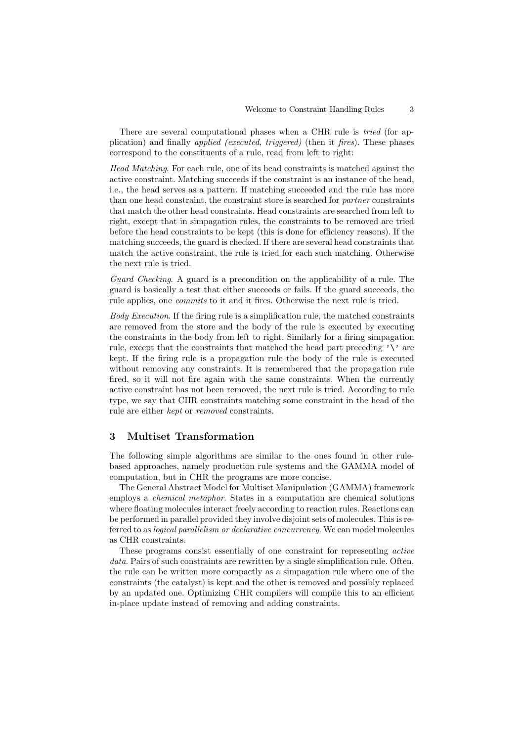There are several computational phases when a CHR rule is *tried* (for application) and finally *applied (executed, triggered)* (then it *fires*). These phases correspond to the constituents of a rule, read from left to right:

*Head Matching*. For each rule, one of its head constraints is matched against the active constraint. Matching succeeds if the constraint is an instance of the head, i.e., the head serves as a pattern. If matching succeeded and the rule has more than one head constraint, the constraint store is searched for *partner* constraints that match the other head constraints. Head constraints are searched from left to right, except that in simpagation rules, the constraints to be removed are tried before the head constraints to be kept (this is done for efficiency reasons). If the matching succeeds, the guard is checked. If there are several head constraints that match the active constraint, the rule is tried for each such matching. Otherwise the next rule is tried.

*Guard Checking*. A guard is a precondition on the applicability of a rule. The guard is basically a test that either succeeds or fails. If the guard succeeds, the rule applies, one *commits* to it and it fires. Otherwise the next rule is tried.

*Body Execution*. If the firing rule is a simplification rule, the matched constraints are removed from the store and the body of the rule is executed by executing the constraints in the body from left to right. Similarly for a firing simpagation rule, except that the constraints that matched the head part preceding  $'\}'$  are kept. If the firing rule is a propagation rule the body of the rule is executed without removing any constraints. It is remembered that the propagation rule fired, so it will not fire again with the same constraints. When the currently active constraint has not been removed, the next rule is tried. According to rule type, we say that CHR constraints matching some constraint in the head of the rule are either *kept* or *removed* constraints.

### **3 Multiset Transformation**

The following simple algorithms are similar to the ones found in other rulebased approaches, namely production rule systems and the GAMMA model of computation, but in CHR the programs are more concise.

The General Abstract Model for Multiset Manipulation (GAMMA) framework employs a *chemical metaphor*. States in a computation are chemical solutions where floating molecules interact freely according to reaction rules. Reactions can be performed in parallel provided they involve disjoint sets of molecules. This is referred to as *logical parallelism or declarative concurrency*. We can model molecules as CHR constraints.

These programs consist essentially of one constraint for representing *active data*. Pairs of such constraints are rewritten by a single simplification rule. Often, the rule can be written more compactly as a simpagation rule where one of the constraints (the catalyst) is kept and the other is removed and possibly replaced by an updated one. Optimizing CHR compilers will compile this to an efficient in-place update instead of removing and adding constraints.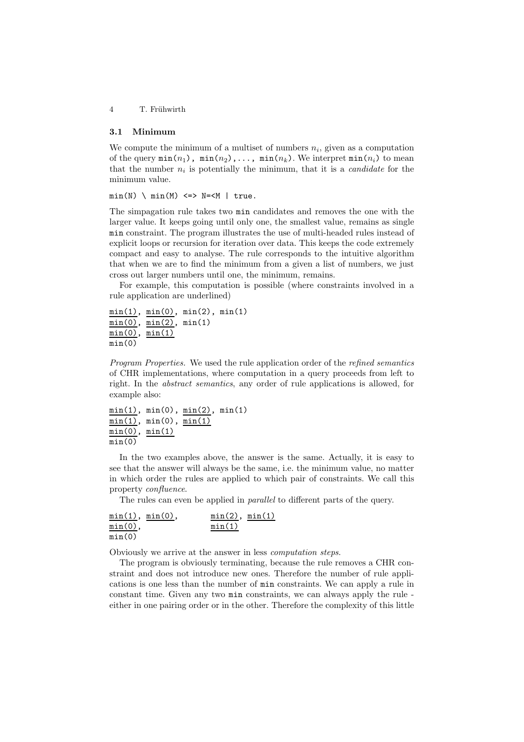#### **3.1 Minimum**

We compute the minimum of a multiset of numbers  $n_i$ , given as a computation of the query  $\min(n_1)$ ,  $\min(n_2)$ ,...,  $\min(n_k)$ . We interpret  $\min(n_i)$  to mean that the number  $n_i$  is potentially the minimum, that it is a *candidate* for the minimum value.

 $min(N)$  \  $min(M)$  <=> N=<M | true.

The simpagation rule takes two min candidates and removes the one with the larger value. It keeps going until only one, the smallest value, remains as single min constraint. The program illustrates the use of multi-headed rules instead of explicit loops or recursion for iteration over data. This keeps the code extremely compact and easy to analyse. The rule corresponds to the intuitive algorithm that when we are to find the minimum from a given a list of numbers, we just cross out larger numbers until one, the minimum, remains.

For example, this computation is possible (where constraints involved in a rule application are underlined)

```
min(1), min(0), min(2), min(1)
min(0), min(2), min(1)
min(0), min(1)
min(0)
```
*Program Properties.* We used the rule application order of the *refined semantics* of CHR implementations, where computation in a query proceeds from left to right. In the *abstract semantics*, any order of rule applications is allowed, for example also:

```
min(1), min(0), min(2), min(1)
min(1), min(0), min(1)
min(0), min(1)
min(0)
```
In the two examples above, the answer is the same. Actually, it is easy to see that the answer will always be the same, i.e. the minimum value, no matter in which order the rules are applied to which pair of constraints. We call this property *confluence*.

The rules can even be applied in *parallel* to different parts of the query.

| $min(1)$ , $min(0)$ , | $min(2)$ , $min(1)$ |  |
|-----------------------|---------------------|--|
| $min(0)$ ,            | min(1)              |  |
| min(0)                |                     |  |

Obviously we arrive at the answer in less *computation steps*.

The program is obviously terminating, because the rule removes a CHR constraint and does not introduce new ones. Therefore the number of rule applications is one less than the number of min constraints. We can apply a rule in constant time. Given any two min constraints, we can always apply the rule either in one pairing order or in the other. Therefore the complexity of this little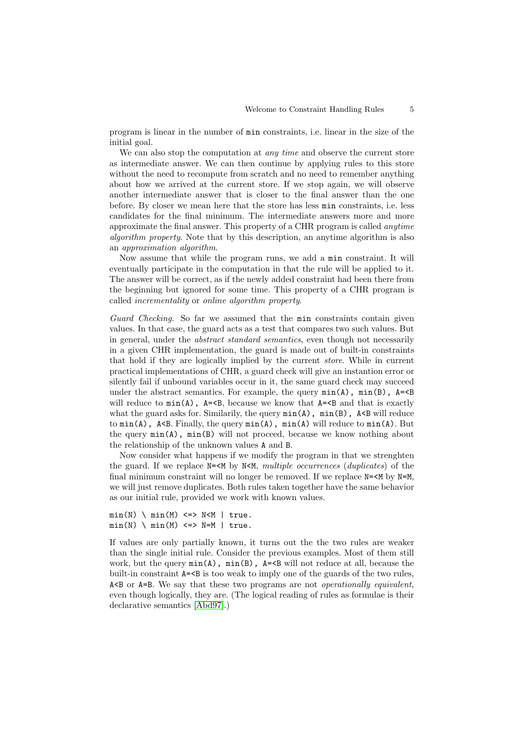program is linear in the number of min constraints, i.e. linear in the size of the initial goal.

We can also stop the computation at *any time* and observe the current store as intermediate answer. We can then continue by applying rules to this store without the need to recompute from scratch and no need to remember anything about how we arrived at the current store. If we stop again, we will observe another intermediate answer that is closer to the final answer than the one before. By closer we mean here that the store has less min constraints, i.e. less candidates for the final minimum. The intermediate answers more and more approximate the final answer. This property of a CHR program is called *anytime algorithm property*. Note that by this description, an anytime algorithm is also an *approximation algorithm*.

Now assume that while the program runs, we add a min constraint. It will eventually participate in the computation in that the rule will be applied to it. The answer will be correct, as if the newly added constraint had been there from the beginning but ignored for some time. This property of a CHR program is called *incrementality* or *online algorithm property*.

*Guard Checking.* So far we assumed that the min constraints contain given values. In that case, the guard acts as a test that compares two such values. But in general, under the *abstract standard semantics*, even though not necessarily in a given CHR implementation, the guard is made out of built-in constraints that hold if they are logically implied by the current *store*. While in current practical implementations of CHR, a guard check will give an instantion error or silently fail if unbound variables occur in it, the same guard check may succeed under the abstract semantics. For example, the query  $min(A)$ ,  $min(B)$ ,  $A=$ will reduce to  $min(A)$ , A=<B, because we know that A=<B and that is exactly what the guard asks for. Similarily, the query  $min(A)$ ,  $min(B)$ ,  $A < B$  will reduce to  $min(A)$ , A<B. Finally, the query  $min(A)$ ,  $min(A)$  will reduce to  $min(A)$ . But the query  $min(A)$ ,  $min(B)$  will not proceed, because we know nothing about the relationship of the unknown values A and B.

Now consider what happens if we modify the program in that we strenghten the guard. If we replace N=<M by N<M, *multiple occurrences* (*duplicates*) of the final minimum constraint will no longer be removed. If we replace  $N = \leq M$  by  $N = M$ , we will just remove duplicates. Both rules taken together have the same behavior as our initial rule, provided we work with known values.

```
min(N) \ min(M) <=> N<M | true.
min(N) \ min(M) <=> N=M | true.
```
If values are only partially known, it turns out the the two rules are weaker than the single initial rule. Consider the previous examples. Most of them still work, but the query  $min(A)$ ,  $min(B)$ ,  $A= will not reduce at all, because the$ built-in constraint  $A = \langle B \rangle$  is too weak to imply one of the guards of the two rules, A<B or A=B. We say that these two programs are not *operationally equivalent*, even though logically, they are. (The logical reading of rules as formulae is their declarative semantics [\[Abd97\]](#page-13-9).)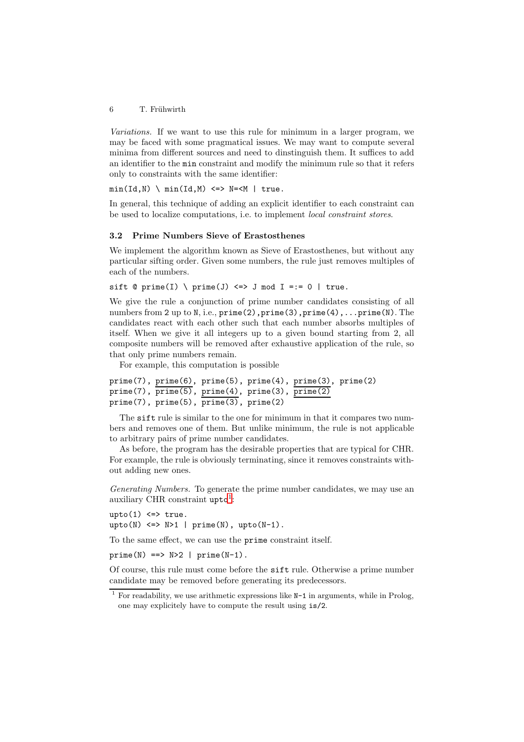*Variations.* If we want to use this rule for minimum in a larger program, we may be faced with some pragmatical issues. We may want to compute several minima from different sources and need to dinstinguish them. It suffices to add an identifier to the min constraint and modify the minimum rule so that it refers only to constraints with the same identifier:

 $min(Id.N) \setminus min(Id.M) \iff N=\times M$  | true.

In general, this technique of adding an explicit identifier to each constraint can be used to localize computations, i.e. to implement *local constraint stores*.

### **3.2 Prime Numbers Sieve of Erastosthenes**

We implement the algorithm known as Sieve of Erastosthenes, but without any particular sifting order. Given some numbers, the rule just removes multiples of each of the numbers.

sift  $\mathbb Q$  prime(I)  $\setminus$  prime(J)  $\leq$  > J mod I =:= 0 | true.

We give the rule a conjunction of prime number candidates consisting of all numbers from 2 up to N, i.e., prime(2), prime(3), prime(4), ... prime(N). The candidates react with each other such that each number absorbs multiples of itself. When we give it all integers up to a given bound starting from 2, all composite numbers will be removed after exhaustive application of the rule, so that only prime numbers remain.

For example, this computation is possible

```
prime(7), prime(6), prime(5), prime(4), prime(3), prime(2)
prime(7), \overline{prime(5)}, prime(4), prime(3), \overline{prime(2)}prime(7), prime(5), \overline{prime(3)}, prime(2)
```
The sift rule is similar to the one for minimum in that it compares two numbers and removes one of them. But unlike minimum, the rule is not applicable to arbitrary pairs of prime number candidates.

As before, the program has the desirable properties that are typical for CHR. For example, the rule is obviously terminating, since it removes constraints without adding new ones.

*Generating Numbers.* To generate the prime number candidates, we may use an auxiliary CHR constraint  $upto<sup>1</sup>$  $upto<sup>1</sup>$  $upto<sup>1</sup>$ :

upto $(1)$   $\iff$  true. upto(N)  $\le$  > N>1 | prime(N), upto(N-1).

To the same effect, we can use the prime constraint itself.

 $prime(N) == > N>2$  |  $prime(N-1)$ .

Of course, this rule must come before the sift rule. Otherwise a prime number candidate may be removed before generating its predecessors.

<span id="page-5-0"></span><sup>1</sup> For readability, we use arithmetic expressions like N-1 in arguments, while in Prolog, one may explicitely have to compute the result using is/2.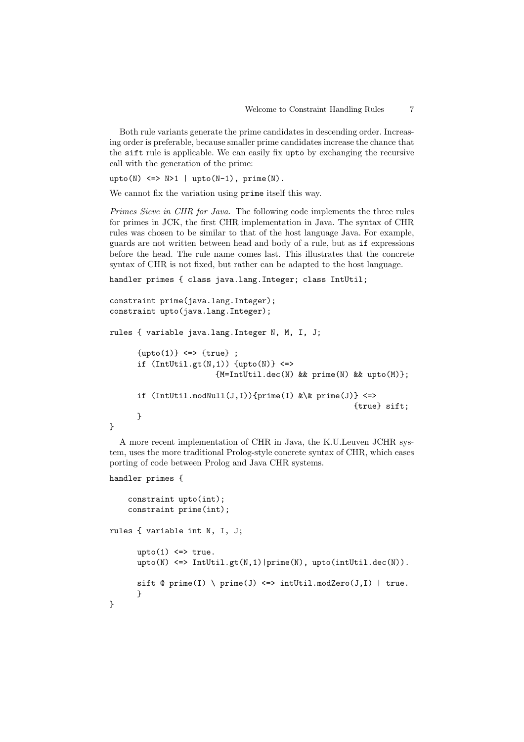Both rule variants generate the prime candidates in descending order. Increasing order is preferable, because smaller prime candidates increase the chance that the sift rule is applicable. We can easily fix upto by exchanging the recursive call with the generation of the prime:

upto(N)  $\le$  > N>1 | upto(N-1), prime(N).

We cannot fix the variation using prime itself this way.

*Primes Sieve in CHR for Java.* The following code implements the three rules for primes in JCK, the first CHR implementation in Java. The syntax of CHR rules was chosen to be similar to that of the host language Java. For example, guards are not written between head and body of a rule, but as if expressions before the head. The rule name comes last. This illustrates that the concrete syntax of CHR is not fixed, but rather can be adapted to the host language.

handler primes { class java.lang.Integer; class IntUtil;

```
constraint prime(java.lang.Integer);
constraint upto(java.lang.Integer);
rules { variable java.lang.Integer N, M, I, J;
      \{upto(1)\} \iff \{true\};
      if (IntUtil.get(N,1)) {upto(N)} < \Rightarrow{M=IntUtil.dec(N) && prime(N) && upto(M)};
      if (IntUtil.modNull(J,I)){prime(I) &\& prime(J)} <=>
                                                         {true} sift;
      }
}
```
A more recent implementation of CHR in Java, the K.U.Leuven JCHR system, uses the more traditional Prolog-style concrete syntax of CHR, which eases porting of code between Prolog and Java CHR systems.

```
handler primes {
```

```
constraint upto(int);
    constraint prime(int);
rules { variable int N, I, J;
      upto(1) \leq \geq true.
      upto(N) <=> IntUtil.gt(N,1)|prime(N), upto(intUtil.dec(N)).
      sift @ prime(I) \rightarrow prime(J) \leftarrow intUtil.modZero(J,I) | true.
      }
}
```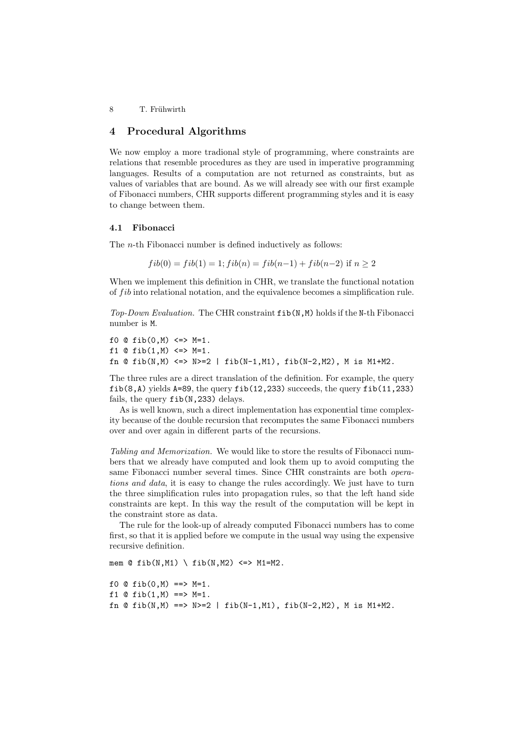## **4 Procedural Algorithms**

We now employ a more tradional style of programming, where constraints are relations that resemble procedures as they are used in imperative programming languages. Results of a computation are not returned as constraints, but as values of variables that are bound. As we will already see with our first example of Fibonacci numbers, CHR supports different programming styles and it is easy to change between them.

### **4.1 Fibonacci**

The *n*-th Fibonacci number is defined inductively as follows:

$$
fib(0) = fib(1) = 1; fib(n) = fib(n-1) + fib(n-2) \text{ if } n \ge 2
$$

When we implement this definition in CHR, we translate the functional notation of  $fib$  into relational notation, and the equivalence becomes a simplification rule.

*Top-Down Evaluation.* The CHR constraint fib(N,M) holds if the N-th Fibonacci number is M.

```
f0 @ fib(0, M) <=> M=1.
f1 @ fib(1,N) <=> M=1.
fn @ fib(N,M) <=> N>=2 | fib(N-1,M1), fib(N-2,M2), M is M1+M2.
```
The three rules are a direct translation of the definition. For example, the query  $\mathtt{fib}(8,\mathtt{A})$  yields  $\mathtt{A=89},$  the query  $\mathtt{fib}(12,233)$  succeeds, the query  $\mathtt{fib}(11,233)$ fails, the query fib(N,233) delays.

As is well known, such a direct implementation has exponential time complexity because of the double recursion that recomputes the same Fibonacci numbers over and over again in different parts of the recursions.

*Tabling and Memorization.* We would like to store the results of Fibonacci numbers that we already have computed and look them up to avoid computing the same Fibonacci number several times. Since CHR constraints are both *operations and data*, it is easy to change the rules accordingly. We just have to turn the three simplification rules into propagation rules, so that the left hand side constraints are kept. In this way the result of the computation will be kept in the constraint store as data.

The rule for the look-up of already computed Fibonacci numbers has to come first, so that it is applied before we compute in the usual way using the expensive recursive definition.

mem  $\&$  fib(N,M1) \ fib(N,M2) <=> M1=M2.

```
f0 @ fib(0, M) == M=1.
f1 @ fib(1, M) ==> M=1.
fn \circ fib(N,M) ==> N>=2 | fib(N-1,M1), fib(N-2,M2), M is M1+M2.
```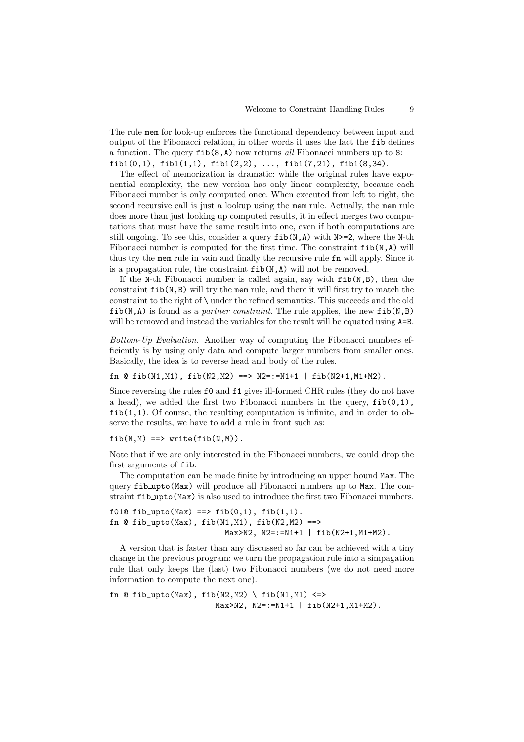The rule mem for look-up enforces the functional dependency between input and output of the Fibonacci relation, in other words it uses the fact the fib defines a function. The query fib(8,A) now returns *all* Fibonacci numbers up to 8: fib1(0,1), fib1(1,1), fib1(2,2), ..., fib1(7,21), fib1(8,34).

The effect of memorization is dramatic: while the original rules have exponential complexity, the new version has only linear complexity, because each Fibonacci number is only computed once. When executed from left to right, the second recursive call is just a lookup using the mem rule. Actually, the mem rule does more than just looking up computed results, it in effect merges two computations that must have the same result into one, even if both computations are still ongoing. To see this, consider a query  $fib(N,A)$  with  $N>=2$ , where the N-th Fibonacci number is computed for the first time. The constraint  $fib(N,A)$  will thus try the mem rule in vain and finally the recursive rule fn will apply. Since it is a propagation rule, the constraint fib(N,A) will not be removed.

If the N-th Fibonacci number is called again, say with  $fib(N,B)$ , then the constraint fib(N,B) will try the mem rule, and there it will first try to match the constraint to the right of \ under the refined semantics. This succeeds and the old  $fib(N,A)$  is found as a *partner constraint*. The rule applies, the new  $fib(N,B)$ will be removed and instead the variables for the result will be equated using  $A=B$ .

*Bottom-Up Evaluation.* Another way of computing the Fibonacci numbers efficiently is by using only data and compute larger numbers from smaller ones. Basically, the idea is to reverse head and body of the rules.

#### fn @ fib(N1,M1), fib(N2,M2) ==> N2=:=N1+1 | fib(N2+1,M1+M2).

Since reversing the rules f0 and f1 gives ill-formed CHR rules (they do not have a head), we added the first two Fibonacci numbers in the query,  $fib(0,1)$ ,  $fib(1,1)$ . Of course, the resulting computation is infinite, and in order to observe the results, we have to add a rule in front such as:

 $fib(N,M) ==> write(fib(N,M)).$ 

Note that if we are only interested in the Fibonacci numbers, we could drop the first arguments of fib.

The computation can be made finite by introducing an upper bound Max. The query fib upto(Max) will produce all Fibonacci numbers up to Max. The constraint fib upto(Max) is also used to introduce the first two Fibonacci numbers.

```
f01@ fib_upto(Max) ==> fib(0,1), fib(1,1).
fn @fib_upto(Max), fib(M1,M1), fib(M2,M2) = >
                         Max>N2, N2=:=N1+1 | fib(N2+1,M1+M2).
```
A version that is faster than any discussed so far can be achieved with a tiny change in the previous program: we turn the propagation rule into a simpagation rule that only keeps the (last) two Fibonacci numbers (we do not need more information to compute the next one).

fn @ fib\_upto(Max), fib(N2,M2) \ fib(N1,M1) <=> Max>N2, N2=:=N1+1 | fib(N2+1,M1+M2).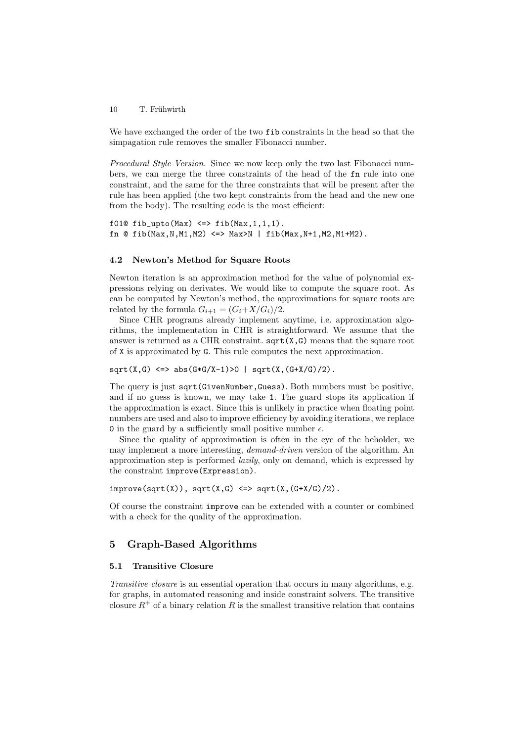We have exchanged the order of the two fib constraints in the head so that the simpagation rule removes the smaller Fibonacci number.

*Procedural Style Version.* Since we now keep only the two last Fibonacci numbers, we can merge the three constraints of the head of the fn rule into one constraint, and the same for the three constraints that will be present after the rule has been applied (the two kept constraints from the head and the new one from the body). The resulting code is the most efficient:

```
f010 fib_upto(Max) <=> fib(Max, 1, 1, 1).
fn \theta fib(Max, N, M1, M2) <=> Max>N | fib(Max, N+1, M2, M1+M2).
```
#### **4.2 Newton's Method for Square Roots**

Newton iteration is an approximation method for the value of polynomial expressions relying on derivates. We would like to compute the square root. As can be computed by Newton's method, the approximations for square roots are related by the formula  $G_{i+1} = (G_i + X/G_i)/2$ .

Since CHR programs already implement anytime, i.e. approximation algorithms, the implementation in CHR is straightforward. We assume that the answer is returned as a CHR constraint.  $\text{sqrt}(X, G)$  means that the square root of X is approximated by G. This rule computes the next approximation.

 $sqrt(X,G) \iff abs(G*G/X-1) > 0 \mid sqrt(X,(G*X/G)/2)$ .

The query is just sqrt(GivenNumber,Guess). Both numbers must be positive, and if no guess is known, we may take 1. The guard stops its application if the approximation is exact. Since this is unlikely in practice when floating point numbers are used and also to improve efficiency by avoiding iterations, we replace 0 in the guard by a sufficiently small positive number  $\epsilon$ .

Since the quality of approximation is often in the eye of the beholder, we may implement a more interesting, *demand-driven* version of the algorithm. An approximation step is performed *lazily*, only on demand, which is expressed by the constraint improve(Expression).

```
improve(sqrt(X)), sqrt(X,G) \iff sqrt(X,(G+X/G)/2).
```
Of course the constraint improve can be extended with a counter or combined with a check for the quality of the approximation.

## **5 Graph-Based Algorithms**

## **5.1 Transitive Closure**

*Transitive closure* is an essential operation that occurs in many algorithms, e.g. for graphs, in automated reasoning and inside constraint solvers. The transitive closure  $R^+$  of a binary relation R is the smallest transitive relation that contains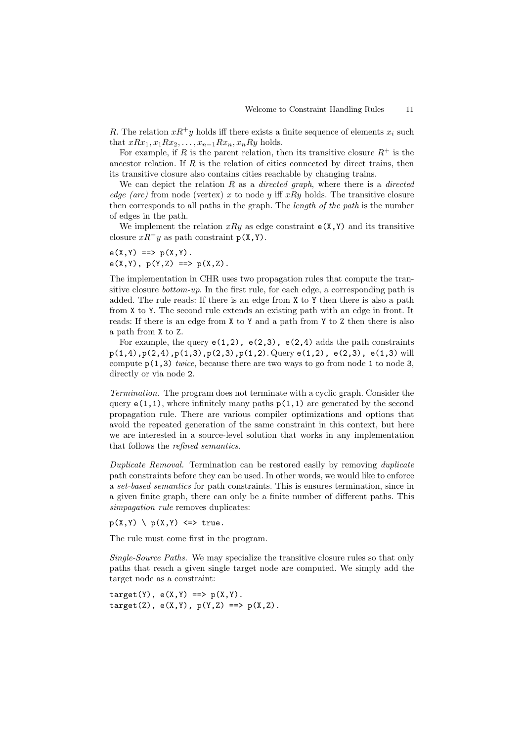R. The relation  $xR^+y$  holds iff there exists a finite sequence of elements  $x_i$  such that  $xRx_1, x_1Rx_2, \ldots, x_{n-1}Rx_n, x_nRy$  holds.

For example, if R is the parent relation, then its transitive closure  $R^+$  is the ancestor relation. If  $R$  is the relation of cities connected by direct trains, then its transitive closure also contains cities reachable by changing trains.

We can depict the relation R as a *directed graph*, where there is a *directed edge (arc)* from node (vertex) x to node y iff  $xRy$  holds. The transitive closure then corresponds to all paths in the graph. The *length of the path* is the number of edges in the path.

We implement the relation  $xRy$  as edge constraint  $e(X,Y)$  and its transitive closure  $xR^+y$  as path constraint  $p(X,Y)$ .

 $e(X,Y) \implies p(X,Y)$ .  $e(X,Y)$ ,  $p(Y,Z) == p(X,Z)$ .

The implementation in CHR uses two propagation rules that compute the transitive closure *bottom-up*. In the first rule, for each edge, a corresponding path is added. The rule reads: If there is an edge from X to Y then there is also a path from X to Y. The second rule extends an existing path with an edge in front. It reads: If there is an edge from X to Y and a path from Y to Z then there is also a path from X to Z.

For example, the query  $e(1,2)$ ,  $e(2,3)$ ,  $e(2,4)$  adds the path constraints  $p(1,4)$ ,  $p(2,4)$ ,  $p(1,3)$ ,  $p(2,3)$ ,  $p(1,2)$ . Query  $e(1,2)$ ,  $e(2,3)$ ,  $e(1,3)$  will compute p(1,3) *twice*, because there are two ways to go from node 1 to node 3, directly or via node 2.

*Termination.* The program does not terminate with a cyclic graph. Consider the query  $e(1,1)$ , where infinitely many paths  $p(1,1)$  are generated by the second propagation rule. There are various compiler optimizations and options that avoid the repeated generation of the same constraint in this context, but here we are interested in a source-level solution that works in any implementation that follows the *refined semantics*.

*Duplicate Removal.* Termination can be restored easily by removing *duplicate* path constraints before they can be used. In other words, we would like to enforce a *set-based semantics* for path constraints. This is ensures termination, since in a given finite graph, there can only be a finite number of different paths. This *simpagation rule* removes duplicates:

 $p(X,Y) \setminus p(X,Y) \iff true.$ 

The rule must come first in the program.

*Single-Source Paths.* We may specialize the transitive closure rules so that only paths that reach a given single target node are computed. We simply add the target node as a constraint:

 $target(Y), e(X,Y) == > p(X,Y).$  $target(Z), e(X,Y), p(Y,Z) == p(X,Z).$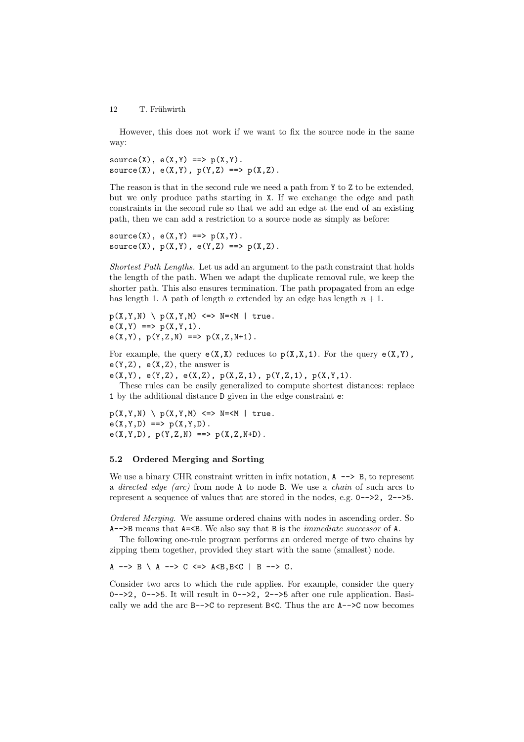However, this does not work if we want to fix the source node in the same way:

 $source(X), e(X,Y) \implies p(X,Y)$ . source(X), e(X,Y),  $p(Y,Z) == p(X,Z)$ .

The reason is that in the second rule we need a path from Y to Z to be extended, but we only produce paths starting in X. If we exchange the edge and path constraints in the second rule so that we add an edge at the end of an existing path, then we can add a restriction to a source node as simply as before:

 $source(X), e(X,Y) \implies p(X,Y).$ source(X),  $p(X,Y)$ ,  $e(Y,Z) == p(X,Z)$ .

*Shortest Path Lengths.* Let us add an argument to the path constraint that holds the length of the path. When we adapt the duplicate removal rule, we keep the shorter path. This also ensures termination. The path propagated from an edge has length 1. A path of length n extended by an edge has length  $n + 1$ .

 $p(X,Y,N) \setminus p(X,Y,M) \iff N=\times M \mid true.$  $e(X,Y) \implies p(X,Y,1)$ .  $e(X,Y), p(Y,Z,N) \implies p(X,Z,N+1).$ 

For example, the query  $e(X,X)$  reduces to  $p(X,X,1)$ . For the query  $e(X,Y)$ ,  $e(Y, Z)$ ,  $e(X, Z)$ , the answer is

e(X,Y), e(Y,Z), e(X,Z), p(X,Z,1), p(Y,Z,1), p(X,Y,1).

These rules can be easily generalized to compute shortest distances: replace 1 by the additional distance D given in the edge constraint e:

 $p(X,Y,N) \setminus p(X,Y,M) \iff N=\times M \mid true.$  $e(X, Y, D) \implies p(X, Y, D)$ .  $e(X,Y,D)$ ,  $p(Y,Z,N) == > p(X,Z,N+D)$ .

#### **5.2 Ordered Merging and Sorting**

We use a binary CHR constraint written in infix notation,  $A \rightarrow B$ , to represent a *directed edge (arc)* from node A to node B. We use a *chain* of such arcs to represent a sequence of values that are stored in the nodes, e.g.  $0 \rightarrow 2$ ,  $2 \rightarrow 5$ .

*Ordered Merging.* We assume ordered chains with nodes in ascending order. So A-->B means that A=<B. We also say that B is the *immediate successor* of A.

The following one-rule program performs an ordered merge of two chains by zipping them together, provided they start with the same (smallest) node.

A  $\rightarrow$  B \ A  $\rightarrow$  C  $\leftarrow$  A  $\leftarrow$  A A  $\leftarrow$  A A  $\leftarrow$  A  $\leftarrow$  B  $\leftarrow$  A  $\leftarrow$  B  $\leftarrow$  B  $\leftarrow$  A  $\leftarrow$  B.

Consider two arcs to which the rule applies. For example, consider the query 0-->2, 0-->5. It will result in  $0$ -->2, 2-->5 after one rule application. Basically we add the arc  $B \rightarrow \infty$  to represent  $B \leq C$ . Thus the arc  $A \rightarrow \infty$  now becomes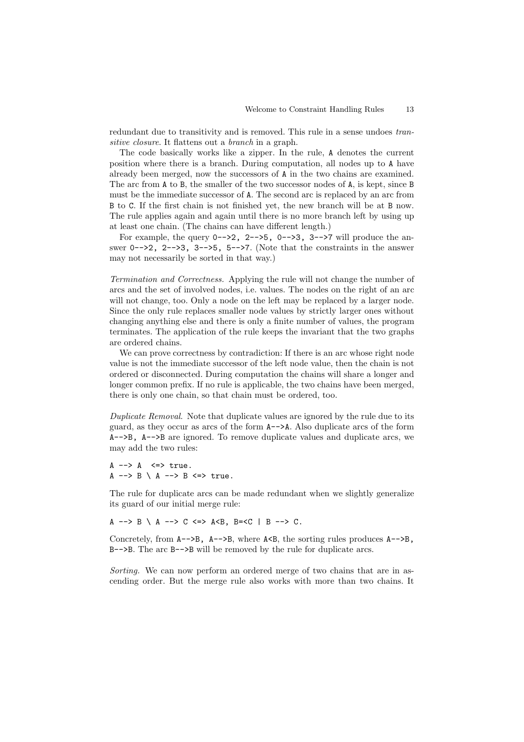redundant due to transitivity and is removed. This rule in a sense undoes *transitive closure*. It flattens out a *branch* in a graph.

The code basically works like a zipper. In the rule, A denotes the current position where there is a branch. During computation, all nodes up to A have already been merged, now the successors of A in the two chains are examined. The arc from A to B, the smaller of the two successor nodes of A, is kept, since B must be the immediate successor of A. The second arc is replaced by an arc from B to C. If the first chain is not finished yet, the new branch will be at B now. The rule applies again and again until there is no more branch left by using up at least one chain. (The chains can have different length.)

For example, the query  $0 \rightarrow 2$ ,  $2 \rightarrow 5$ ,  $0 \rightarrow 3$ ,  $3 \rightarrow 7$  will produce the answer  $0 \rightarrow 2$ ,  $2 \rightarrow 3$ ,  $3 \rightarrow 5$ ,  $5 \rightarrow 7$ . (Note that the constraints in the answer may not necessarily be sorted in that way.)

*Termination and Correctness.* Applying the rule will not change the number of arcs and the set of involved nodes, i.e. values. The nodes on the right of an arc will not change, too. Only a node on the left may be replaced by a larger node. Since the only rule replaces smaller node values by strictly larger ones without changing anything else and there is only a finite number of values, the program terminates. The application of the rule keeps the invariant that the two graphs are ordered chains.

We can prove correctness by contradiction: If there is an arc whose right node value is not the immediate successor of the left node value, then the chain is not ordered or disconnected. During computation the chains will share a longer and longer common prefix. If no rule is applicable, the two chains have been merged, there is only one chain, so that chain must be ordered, too.

*Duplicate Removal.* Note that duplicate values are ignored by the rule due to its guard, as they occur as arcs of the form  $A$ ->A. Also duplicate arcs of the form A-->B, A-->B are ignored. To remove duplicate values and duplicate arcs, we may add the two rules:

 $A \longrightarrow A \iff$  true. A  $\leftarrow$  > B \ A  $\leftarrow$  > B <= > true.

The rule for duplicate arcs can be made redundant when we slightly generalize its guard of our initial merge rule:

A --> B \ A --> C <=> A<B, B=<C | B --> C.

Concretely, from  $A = -\overline{B}$ ,  $A = -\overline{B}$ , where  $A \leq B$ , the sorting rules produces  $A = -\overline{B}$ . B-->B. The arc B-->B will be removed by the rule for duplicate arcs.

*Sorting.* We can now perform an ordered merge of two chains that are in ascending order. But the merge rule also works with more than two chains. It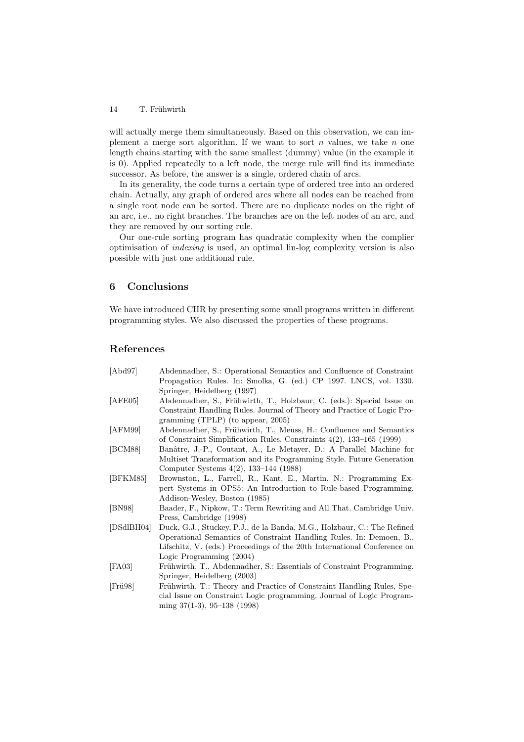will actually merge them simultaneously. Based on this observation, we can implement a merge sort algorithm. If we want to sort  $n$  values, we take  $n$  one length chains starting with the same smallest (dummy) value (in the example it is 0). Applied repeatedly to a left node, the merge rule will find its immediate successor. As before, the answer is a single, ordered chain of arcs.

In its generality, the code turns a certain type of ordered tree into an ordered chain. Actually, any graph of ordered arcs where all nodes can be reached from a single root node can be sorted. There are no duplicate nodes on the right of an arc, i.e., no right branches. The branches are on the left nodes of an arc, and they are removed by our sorting rule.

Our one-rule sorting program has quadratic complexity when the complier optimisation of *indexing* is used, an optimal lin-log complexity version is also possible with just one additional rule.

## **6 Conclusions**

We have introduced CHR by presenting some small programs written in different programming styles. We also discussed the properties of these programs.

## <span id="page-13-7"></span>**References**

<span id="page-13-9"></span><span id="page-13-8"></span><span id="page-13-6"></span><span id="page-13-5"></span><span id="page-13-4"></span><span id="page-13-3"></span><span id="page-13-2"></span><span id="page-13-1"></span><span id="page-13-0"></span>

| [Abd97]    | Abdennadher, S.: Operational Semantics and Confluence of Constraint      |
|------------|--------------------------------------------------------------------------|
|            | Propagation Rules. In: Smolka, G. (ed.) CP 1997. LNCS, vol. 1330.        |
|            | Springer, Heidelberg (1997)                                              |
| [AEE05]    | Abdennadher, S., Frühwirth, T., Holzbaur, C. (eds.): Special Issue on    |
|            | Constraint Handling Rules. Journal of Theory and Practice of Logic Pro-  |
|            | gramming (TPLP) (to appear, 2005)                                        |
| [AFM99]    | Abdennadher, S., Frühwirth, T., Meuss, H.: Confluence and Semantics      |
|            | of Constraint Simplification Rules. Constraints $4(2)$ , 133–165 (1999)  |
| [BCM88]    | Banâtre, J.-P., Coutant, A., Le Metayer, D.: A Parallel Machine for      |
|            | Multiset Transformation and its Programming Style. Future Generation     |
|            | Computer Systems 4(2), 133–144 (1988)                                    |
| [BFKM85]   | Brownston, L., Farrell, R., Kant, E., Martin, N.: Programming Ex-        |
|            | pert Systems in OPS5: An Introduction to Rule-based Programming.         |
|            | Addison-Wesley, Boston (1985)                                            |
| [BN98]     | Baader, F., Nipkow, T.: Term Rewriting and All That. Cambridge Univ.     |
|            | Press, Cambridge (1998)                                                  |
| [DSdlBH04] | Duck, G.J., Stuckey, P.J., de la Banda, M.G., Holzbaur, C.: The Refined  |
|            | Operational Semantics of Constraint Handling Rules. In: Demoen, B.,      |
|            | Lifschitz, V. (eds.) Proceedings of the 20th International Conference on |
|            | Logic Programming (2004)                                                 |
| [FA03]     | Frühwirth, T., Abdennadher, S.: Essentials of Constraint Programming.    |
|            | Springer, Heidelberg (2003)                                              |
| [Frü98]    | Frühwirth, T.: Theory and Practice of Constraint Handling Rules, Spe-    |
|            | cial Issue on Constraint Logic programming. Journal of Logic Program-    |
|            | ming $37(1-3)$ , $95-138(1998)$                                          |